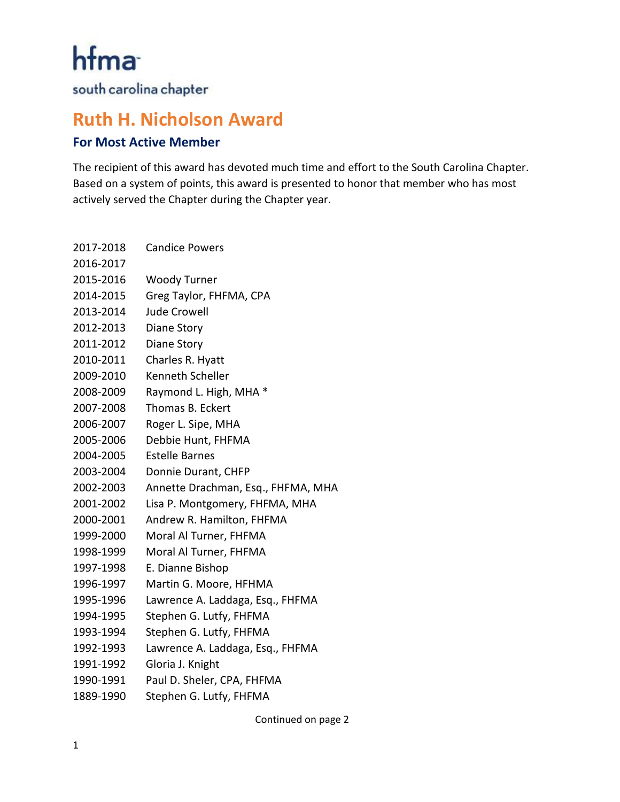hfma

south carolina chapter

## **Ruth H. Nicholson Award**

## **For Most Active Member**

The recipient of this award has devoted much time and effort to the South Carolina Chapter. Based on a system of points, this award is presented to honor that member who has most actively served the Chapter during the Chapter year.

| 2017-2018 | <b>Candice Powers</b>              |
|-----------|------------------------------------|
| 2016-2017 |                                    |
| 2015-2016 | <b>Woody Turner</b>                |
| 2014-2015 | Greg Taylor, FHFMA, CPA            |
| 2013-2014 | <b>Jude Crowell</b>                |
| 2012-2013 | Diane Story                        |
| 2011-2012 | <b>Diane Story</b>                 |
| 2010-2011 | Charles R. Hyatt                   |
| 2009-2010 | Kenneth Scheller                   |
| 2008-2009 | Raymond L. High, MHA *             |
| 2007-2008 | Thomas B. Eckert                   |
| 2006-2007 | Roger L. Sipe, MHA                 |
| 2005-2006 | Debbie Hunt, FHFMA                 |
| 2004-2005 | <b>Estelle Barnes</b>              |
| 2003-2004 | Donnie Durant, CHFP                |
| 2002-2003 | Annette Drachman, Esq., FHFMA, MHA |
| 2001-2002 | Lisa P. Montgomery, FHFMA, MHA     |
| 2000-2001 | Andrew R. Hamilton, FHFMA          |
| 1999-2000 | Moral Al Turner, FHFMA             |
| 1998-1999 | Moral Al Turner, FHFMA             |
| 1997-1998 | E. Dianne Bishop                   |
| 1996-1997 | Martin G. Moore, HFHMA             |
| 1995-1996 | Lawrence A. Laddaga, Esq., FHFMA   |
| 1994-1995 | Stephen G. Lutfy, FHFMA            |
| 1993-1994 | Stephen G. Lutfy, FHFMA            |
| 1992-1993 | Lawrence A. Laddaga, Esq., FHFMA   |
| 1991-1992 | Gloria J. Knight                   |
| 1990-1991 | Paul D. Sheler, CPA, FHFMA         |
| 1889-1990 | Stephen G. Lutfy, FHFMA            |

Continued on page 2